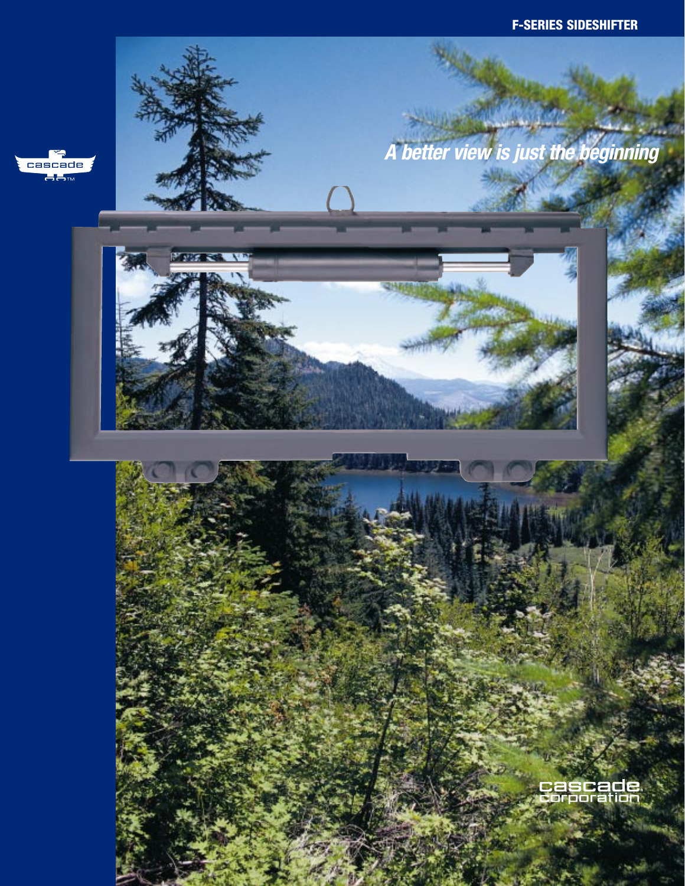

فالمربوء سمارا أحمالك **A better view is just the beginning**



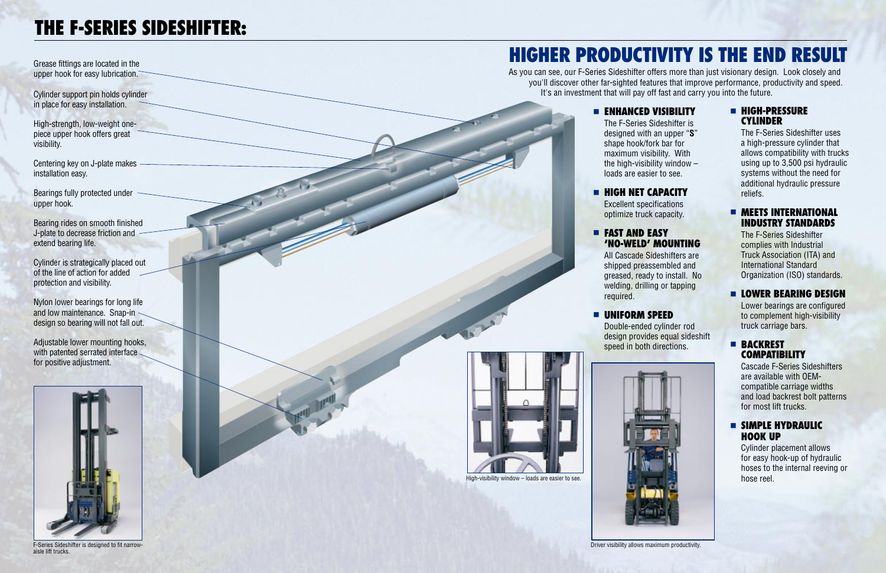Grease fittings are located in the upper hook for easy lubrication.

Cylinder support pin holds cylinder in place for easy installation.

High-strength, low-weight onepiece upper hook offers great visibility.

Centering key on J-plate makes installation easy.

Bearings fully protected under upper hook.

Adjustable lower mounting hooks, with patented serrated interface for positive adjustment.

Bearing rides on smooth finished J-plate to decrease friction and extend bearing life.

Cylinder is strategically placed out of the line of action for addedprotection and visibility.

Nylon lower bearings for long life and low maintenance. Snap-in design so bearing will not fall out.

# **HIGHER PRODUCTIVITY IS THE END RESULT**

As you can see, our F-Series Sideshifter offers more than just visionary design. Look closely and you'll discover other far-sighted features that improve performance, productivity and speed. It's an investment that will pay off fast and carry you into the future.

#### ■ **ENHANCED VISIBILITY**

The F-Series Sideshifter is designed with an upper "**S**" shape hook/fork bar for maximum visibility. With loads are easier to see.

#### ■ **HIGH NET CAPACITY**



F-Series Sideshifter is designed to fit narrowaisle lift trucks.hifter is designed to fit narrow- Driver visibility allows maximum productivity.<br>Example to the maximum productivity.

Excellent specifications optimize truck capacity.

## ■ **FAST AND EASY**

# **'NO-WELD' MOUNTING**

All Cascade Sideshifters aregreased, ready to install. No welding, drilling or tapping

shipped preassembled and required.

## ■ **UNIFORM SPEED**

Double-ended cylinder rod design provides equal sideshift speed in both directions.

#### ■ **HIGH-PRESSURE CYLINDER**

The F-Series Sideshifter usesa high-pressure cylinder that allows compatibility with trucks using up to 3,500 psi hydraulic systems without the need for additional hydraulic pressure reliefs.

#### ■ **MEETS INTERNATIONALINDUSTRY STANDARDS**

The F-Series Sideshifter complies with Industrial Truck Association (ITA) and International StandardOrganization (ISO) standards.

### ■ **LOWER BEARING DESIGN**

Lower bearings are configured to complement high-visibility truck carriage bars.

#### ■ **BACKREST COMPATIBILITY**

Cascade F-Series Sideshifters are available with OEMcompatible carriage widths and load backrest bolt patterns for most lift trucks.

#### ■ **SIMPLE HYDRAULICHOOK UP**

Cylinder placement allows for easy hook-up of hydraulic hoses to the internal reeving or



the high-visibility window  $-$ 

# **THE F-SERIES SIDESHIFTER:**